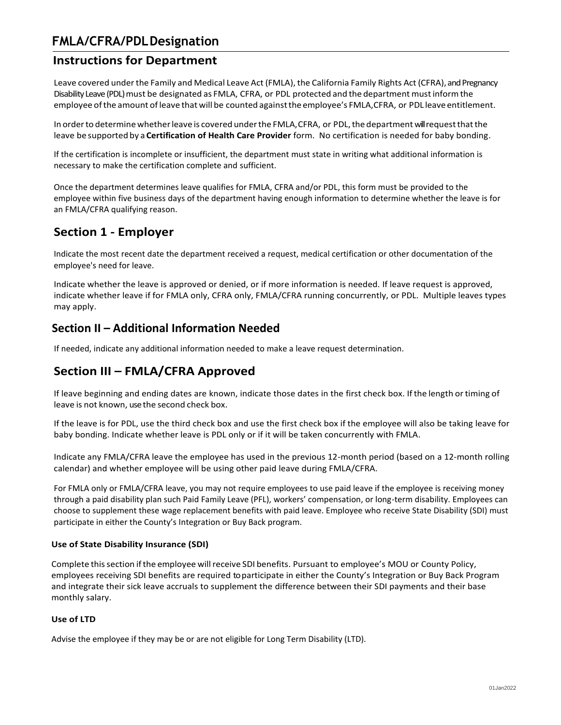# **FMLA/CFRA/PDLDesignation**

# **Instructions for Department**

Leave covered under the Family and Medical Leave Act (FMLA), the California Family Rights Act (CFRA), and Pregnancy Disability Leave (PDL) must be designated as FMLA, CFRA, or PDL protected and the department mustinformthe employee ofthe amount ofleave that will be counted againstthe employee's FMLA, CFRA, or PDL leave entitlement.

In order to determine whether leave is covered under the FMLA, CFRA, or PDL, the department will request that the leave be supported by a **Certification of Health Care Provider** form. No certification is needed for baby bonding.

If the certification is incomplete or insufficient, the department must state in writing what additional information is necessary to make the certification complete and sufficient.

Once the department determines leave qualifies for FMLA, CFRA and/or PDL, this form must be provided to the employee within five business days of the department having enough information to determine whether the leave is for an FMLA/CFRA qualifying reason.

### **Section 1 - Employer**

Indicate the most recent date the department received a request, medical certification or other documentation of the employee's need for leave.

Indicate whether the leave is approved or denied, or if more information is needed. If leave request is approved, indicate whether leave if for FMLA only, CFRA only, FMLA/CFRA running concurrently, or PDL. Multiple leaves types may apply.

### **Section II – Additional Information Needed**

If needed, indicate any additional information needed to make a leave request determination.

### **Section III – FMLA/CFRA Approved**

If leave beginning and ending dates are known, indicate those dates in the first check box. Ifthe length ortiming of leave is not known, usethe second check box.

If the leave is for PDL, use the third check box and use the first check box if the employee will also be taking leave for baby bonding. Indicate whether leave is PDL only or if it will be taken concurrently with FMLA.

Indicate any FMLA/CFRA leave the employee has used in the previous 12-month period (based on a 12-month rolling calendar) and whether employee will be using other paid leave during FMLA/CFRA.

For FMLA only or FMLA/CFRA leave, you may not require employees to use paid leave if the employee is receiving money through a paid disability plan such Paid Family Leave (PFL), workers' compensation, or long-term disability. Employees can choose to supplement these wage replacement benefits with paid leave. Employee who receive State Disability (SDI) must participate in either the County's Integration or Buy Back program.

### **Use of State Disability Insurance (SDI)**

Complete thissection ifthe employee willreceive SDI benefits. Pursuant to employee's MOU or County Policy, employees receiving SDI benefits are required to participate in either the County's Integration or Buy Back Program and integrate their sick leave accruals to supplement the difference between their SDI payments and their base monthly salary.

### **Use of LTD**

Advise the employee if they may be or are not eligible for Long Term Disability (LTD).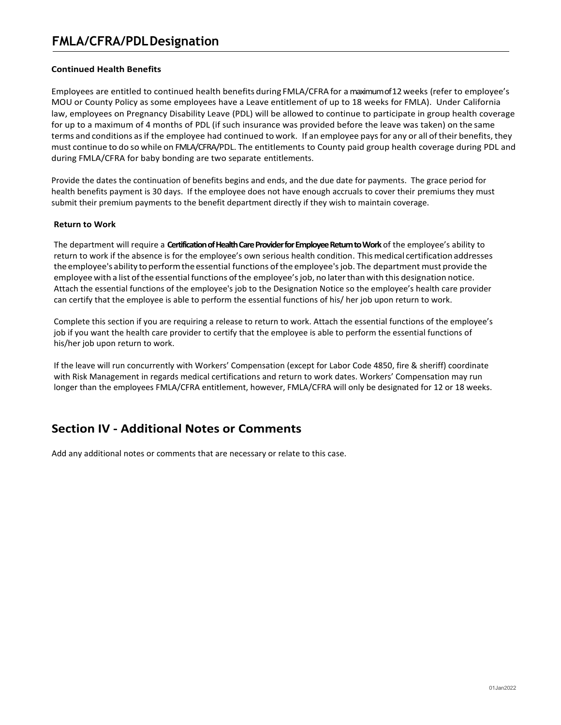### **Continued Health Benefits**

Employees are entitled to continued health benefits during FMLA/CFRA for amaximum of 12 weeks (refer to employee's MOU or County Policy as some employees have a Leave entitlement of up to 18 weeks for FMLA). Under California law, employees on Pregnancy Disability Leave (PDL) will be allowed to continue to participate in group health coverage for up to a maximum of 4 months of PDL (if such insurance was provided before the leave was taken) on the same terms and conditions asif the employee had continued to work. If an employee paysfor any or all oftheir benefits, they must continue to do so while on FMLA/CFRA/PDL. The entitlements to County paid group health coverage during PDL and during FMLA/CFRA for baby bonding are two separate entitlements.

Provide the dates the continuation of benefits begins and ends, and the due date for payments. The grace period for health benefits payment is 30 days. If the employee does not have enough accruals to cover their premiums they must submit their premium payments to the benefit department directly if they wish to maintain coverage.

### **Return to Work**

The department will require a **Certification of Health Care Provider for Employee Return toWork** of the employee's ability to return to work if the absence is for the employee's own serious health condition. Thismedical certification addresses the employee's ability toperformthe essential functions ofthe employee'sjob. The department must provide the employee with a list ofthe essential functions ofthe employee'sjob, no laterthan with this designation notice. Attach the essential functions of the employee's job to the Designation Notice so the employee's health care provider can certify that the employee is able to perform the essential functions of his/ her job upon return to work.

Complete this section if you are requiring a release to return to work. Attach the essential functions of the employee's job if you want the health care provider to certify that the employee is able to perform the essential functions of his/her job upon return to work.

If the leave will run concurrently with Workers' Compensation (except for Labor Code 4850, fire & sheriff) coordinate with Risk Management in regards medical certifications and return to work dates. Workers' Compensation may run longer than the employees FMLA/CFRA entitlement, however, FMLA/CFRA will only be designated for 12 or 18 weeks.

### **Section IV - Additional Notes or Comments**

Add any additional notes or comments that are necessary or relate to this case.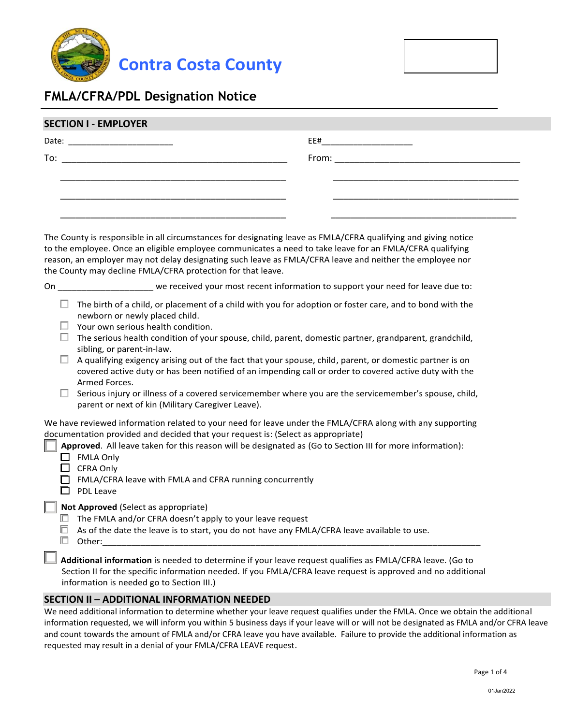



## **FMLA/CFRA/PDL Designation Notice**

| JLUIIUIVI – LIVIFLUI LN |                                                                                                                      |
|-------------------------|----------------------------------------------------------------------------------------------------------------------|
| Date:                   | EE#                                                                                                                  |
| To:                     | <b>From:</b> Executive Section 2008 and 2008 and 2008 and 2008 and 2008 and 2008 and 2008 and 2008 and 2008 and 2008 |
|                         |                                                                                                                      |
|                         |                                                                                                                      |
|                         |                                                                                                                      |
|                         |                                                                                                                      |

The County is responsible in all circumstances for designating leave as FMLA/CFRA qualifying and giving notice to the employee. Once an eligible employee communicates a need to take leave for an FMLA/CFRA qualifying reason, an employer may not delay designating such leave as FMLA/CFRA leave and neither the employee nor the County may decline FMLA/CFRA protection for that leave.

On \_\_\_\_\_\_\_\_\_\_\_\_\_\_\_\_\_\_\_\_ we received your most recent information to support your need for leave due to:

- $\Box$  The birth of a child, or placement of a child with you for adoption or foster care, and to bond with the newborn or newly placed child.
- $\Box$  Your own serious health condition.
- $\Box$  The serious health condition of your spouse, child, parent, domestic partner, grandparent, grandchild, sibling, or parent-in-law.
- $\Box$  A qualifying exigency arising out of the fact that your spouse, child, parent, or domestic partner is on covered active duty or has been notified of an impending call or order to covered active duty with the Armed Forces.
- $\Box$  Serious injury or illness of a covered servicemember where you are the servicemember's spouse, child, parent or next of kin (Military Caregiver Leave).

We have reviewed information related to your need for leave under the FMLA/CFRA along with any supporting documentation provided and decided that your request is: (Select as appropriate)

**Approved**. All leave taken for this reason will be designated as (Go to Section III for more information):

- $\Box$  FMLA Only
- $\Box$  CFRA Only
- $\Box$  FMLA/CFRA leave with FMLA and CFRA running concurrently
- $\Box$  PDL Leave

### **Not Approved** (Select as appropriate)

- $\Box$  The FMLA and/or CFRA doesn't apply to your leave request
- $\Box$  As of the date the leave is to start, you do not have any FMLA/CFRA leave available to use.
- Other:\_\_\_\_\_\_\_\_\_\_\_\_\_\_\_\_\_\_\_\_\_\_\_\_\_\_\_\_\_\_\_\_\_\_\_\_\_\_\_\_\_\_\_\_\_\_\_\_\_\_\_\_\_\_\_\_\_\_\_\_\_\_\_\_\_\_\_\_\_\_\_\_\_\_\_\_\_\_\_

 **Additional information** is needed to determine if your leave request qualifies as FMLA/CFRA leave. (Go to Section II for the specific information needed. If you FMLA/CFRA leave request is approved and no additional information is needed go to Section III.)

### **SECTION II – ADDITIONAL INFORMATION NEEDED**

We need additional information to determine whether your leave request qualifies under the FMLA. Once we obtain the additional information requested, we will inform you within 5 business days if your leave will or will not be designated as FMLA and/or CFRA leave and count towards the amount of FMLA and/or CFRA leave you have available. Failure to provide the additional information as requested may result in a denial of your FMLA/CFRA LEAVE request.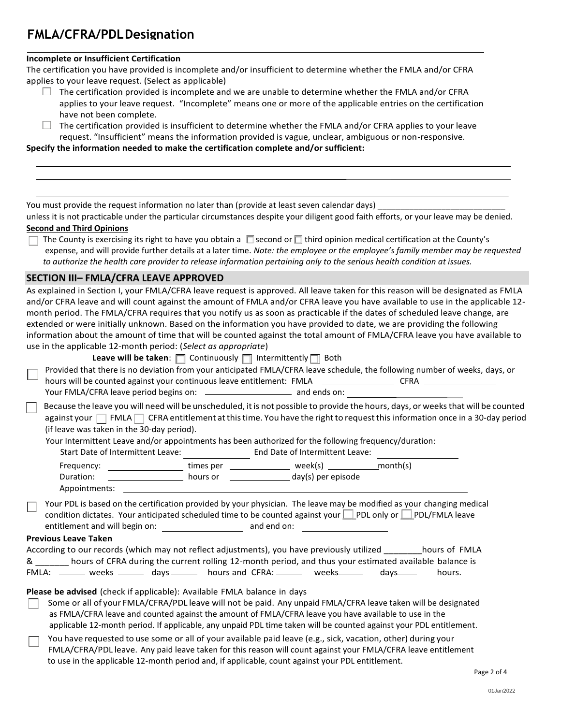### **FMLA/CFRA/PDLDesignation** <u>Notice</u>

#### **Incomplete or Insufficient Certification**

The certification you have provided is incomplete and/or insufficient to determine whether the FMLA and/or CFRA applies to your leave request. (Select as applicable)

- $\Box$  The certification provided is incomplete and we are unable to determine whether the FMLA and/or CFRA applies to your leave request. "Incomplete" means one or more of the applicable entries on the certification have not been complete.
- $\Box$  The certification provided is insufficient to determine whether the FMLA and/or CFRA applies to your leave request. "Insufficient" means the information provided is vague, unclear, ambiguous or non-responsive.

**Specify the information needed to make the certification complete and/or sufficient:**

You must provide the request information no later than (provide at least seven calendar days)

unless it is not practicable under the particular circumstances despite your diligent good faith efforts, or your leave may be denied. **Second and Third Opinions**

The County is exercising its right to have you obtain a  $\Box$  second or  $\Box$  third opinion medical certification at the County's expense, and will provide further details at a later time. *Note: the employee or the employee's family member may be requested to authorize the health care provider to release information pertaining only to the serious health condition at issues.*

### **SECTION III– FMLA/CFRA LEAVE APPROVED**

As explained in Section I, your FMLA/CFRA leave request is approved. All leave taken for this reason will be designated as FMLA and/or CFRA leave and will count against the amount of FMLA and/or CFRA leave you have available to use in the applicable 12 month period. The FMLA/CFRA requires that you notify us as soon as practicable if the dates of scheduled leave change, are extended or were initially unknown. Based on the information you have provided to date, we are providing the following information about the amount of time that will be counted against the total amount of FMLA/CFRA leave you have available to use in the applicable 12-month period: (*Select as appropriate*)

| <b>Leave will be taken:</b> $\Box$ Continuously $\Box$ Intermittently $\Box$ Both                                               |
|---------------------------------------------------------------------------------------------------------------------------------|
| Provided that there is no deviation from your anticipated FMLA/CFRA leave schedule, the following number of weeks, days, or     |
| hours will be counted against your continuous leave entitlement: FMLA<br><b>CFRA</b>                                            |
|                                                                                                                                 |
| Because the leave you will need will be unscheduled, it is not possible to provide the hours, days, or weeks that will be count |

at will be counted against your  $\Box$  FMLA  $\Box$  CFRA entitlement at this time. You have the right to request this information once in a 30-day period (if leave was taken in the 30-day period).

Your Intermittent Leave and/or appointments has been authorized for the following frequency/duration:

| <b>Ergaugncy</b>                  | timac nar | ۱٬۱۸۵ م                         | mnn |  |
|-----------------------------------|-----------|---------------------------------|-----|--|
| Start Date of Intermittent Leave: |           | End Date of Intermittent Leave: |     |  |

| Frequency:    | times per | week(s)            | month(s) |
|---------------|-----------|--------------------|----------|
| Duration:     | hours or  | day(s) per episode |          |
| Appointments: |           |                    |          |

Your PDL is based on the certification provided by your physician. The leave may be modified as your changing medical condition dictates. Your anticipated scheduled time to be counted against your PDL only or PDL/FMLA leave entitlement and will begin on: \_\_\_\_\_\_\_\_\_\_\_\_\_\_\_\_\_\_\_\_\_\_\_ and end on: \_\_\_\_\_\_

#### **Previous Leave Taken**

|       |              |           | According to our records (which may not reflect adjustments), you have previously utilized             |             |          | hours of FMLA |
|-------|--------------|-----------|--------------------------------------------------------------------------------------------------------|-------------|----------|---------------|
| &     |              |           | hours of CFRA during the current rolling 12-month period, and thus your estimated available balance is |             |          |               |
| FMLA: | weeks ______ | davs ____ | hours and CFRA: _______                                                                                | weeks______ | davs____ | hours.        |

### **Please be advised** (check if applicable): Available FMLA balance in days

- Some or all of your FMLA/CFRA/PDL leave will not be paid. Any unpaid FMLA/CFRA leave taken will be designated as FMLA/CFRA leave and counted against the amount of FMLA/CFRA leave you have available to use in the applicable 12-month period. If applicable, any unpaid PDL time taken will be counted against your PDL entitlement.
- You have requested to use some or all of your available paid leave (e.g., sick, vacation, other) during your FMLA/CFRA/PDL leave. Any paid leave taken for this reason will count against your FMLA/CFRA leave entitlement to use in the applicable 12-month period and, if applicable, count against your PDL entitlement.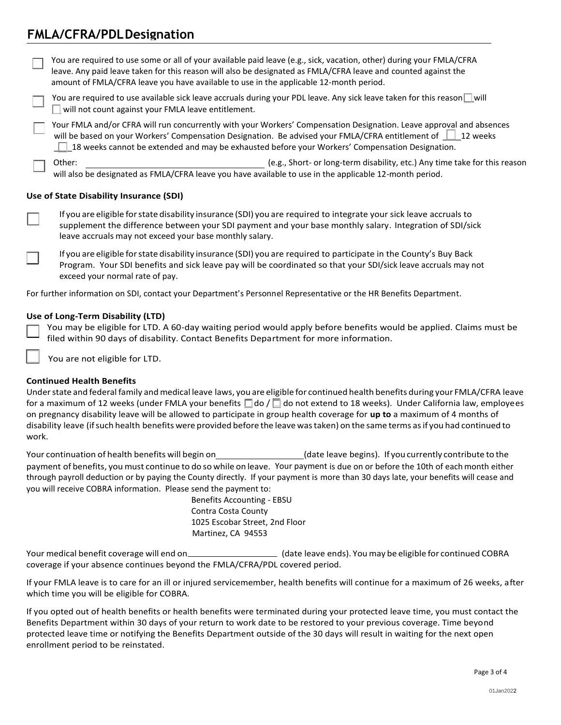### **FMLA/CFRA/PDLDesignation Notice**

You are required to use some or all of your available paid leave (e.g., sick, vacation, other) during your FMLA/CFRA leave. Any paid leave taken for this reason will also be designated as FMLA/CFRA leave and counted against the amount of FMLA/CFRA leave you have available to use in the applicable 12-month period.

You are required to use available sick leave accruals during your PDL leave. Any sick leave taken for this reason  $\Box$  will  $\Box$  will not count against your FMLA leave entitlement.

 Your FMLA and/or CFRA will run concurrently with your Workers' Compensation Designation. Leave approval and absences will be based on your Workers' Compensation Designation. Be advised your FMLA/CFRA entitlement of 112 weeks **18** weeks cannot be extended and may be exhausted before your Workers' Compensation Designation.

Other: (e.g., Short- or long-term disability, etc.) Any time take for this reason will also be designated as FMLA/CFRA leave you have available to use in the applicable 12-month period.

### **Use of State Disability Insurance (SDI)**

If you are eligible forstate disability insurance (SDI) you are required to integrate your sick leave accruals to supplement the difference between your SDI payment and your base monthly salary. Integration of SDI/sick leave accruals may not exceed your base monthly salary.

If you are eligible forstate disability insurance (SDI) you are required to participate in the County's Buy Back Program. Your SDI benefits and sick leave pay will be coordinated so that your SDI/sick leave accruals may not exceed your normal rate of pay.

For further information on SDI, contact your Department's Personnel Representative or the HR Benefits Department.

#### **Use of Long-Term Disability (LTD)**

You may be eligible for LTD. A 60-day waiting period would apply before benefits would be applied. Claims must be filed within 90 days of disability. Contact Benefits Department for more information.

You are not eligible for LTD.

### **Continued Health Benefits**

Under state and federal family and medical leave laws, you are eligible for continued health benefits during your FMLA/CFRA leave for a maximum of 12 weeks (under FMLA your benefits  $\Box$  do /  $\Box$  do not extend to 18 weeks). Under California law, employees on pregnancy disability leave will be allowed to participate in group health coverage for **up to** a maximum of 4 months of disability leave (ifsuch health benefits were provided before the leave wastaken) on the same terms asif you had continued to work.

Your continuation of health benefits will begin on (date leave begins). If you currently contribute to the payment of benefits, you must continue to do so while on leave. Your payment is due on or before the 10th of each month either through payroll deduction or by paying the County directly. If your payment is more than 30 days late, your benefits will cease and you will receive COBRA information. Please send the payment to:

Benefits Accounting - EBSU Contra Costa County 1025 Escobar Street, 2nd Floor Martinez, CA 94553

Your medical benefit coverage will end on \_\_\_\_\_\_\_\_\_\_\_\_\_\_\_\_\_\_\_\_\_\_\_\_\_\_ (date leave ends). You may be eligible for continued COBRA coverage if your absence continues beyond the FMLA/CFRA/PDL covered period.

If your FMLA leave is to care for an ill or injured servicemember, health benefits will continue for a maximum of 26 weeks, after which time you will be eligible for COBRA.

If you opted out of health benefits or health benefits were terminated during your protected leave time, you must contact the Benefits Department within 30 days of your return to work date to be restored to your previous coverage. Time beyond protected leave time or notifying the Benefits Department outside of the 30 days will result in waiting for the next open enrollment period to be reinstated.